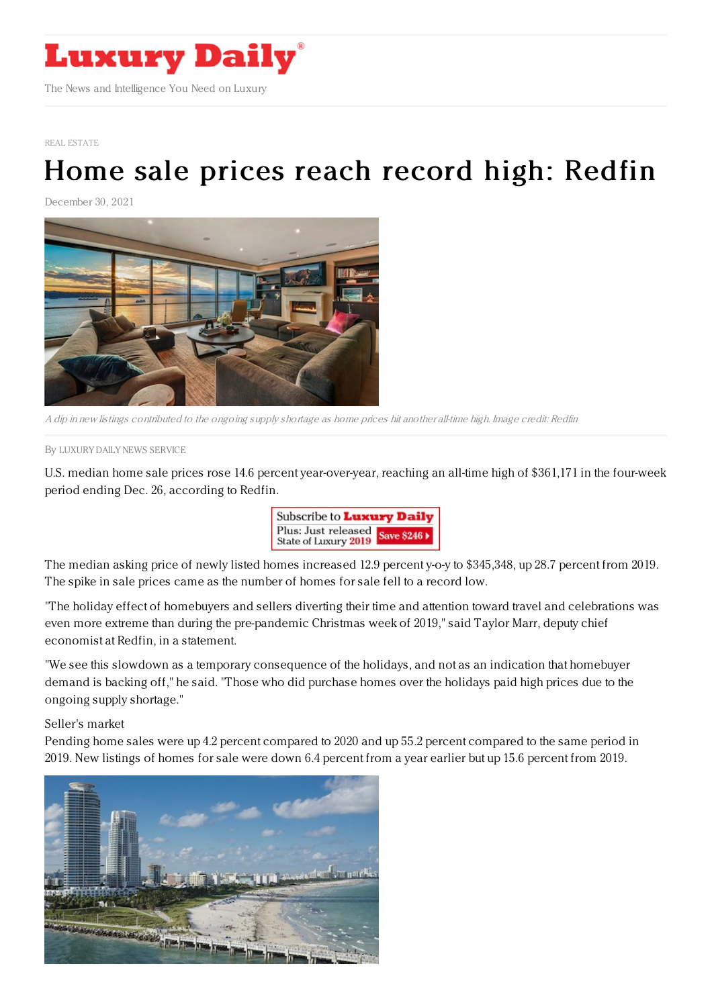

REAL [ESTATE](https://www.luxurydaily.com/category/sectors/real-estate/)

## Home sale prices reach record high: [Redfin](https://www.luxurydaily.com/home-sale-prices-reach-record-high/)

December 30, 2021



A dip in new listings contributed to the ongoing supply shortage as home prices hit another all-time high. Image credit: Redfin

By LUXURY DAILY NEWS [SERVICE](file:///author/luxury-daily-news-service)

U.S. median home sale prices rose 14.6 percent year-over-year, reaching an all-time high of \$361,171 in the four-week period ending Dec. 26, according to Redfin.



The median asking price of newly listed homes increased 12.9 percent y-o-y to \$345,348, up 28.7 percent from 2019. The spike in sale prices came as the number of homes for sale fell to a record low.

"The holiday effect of homebuyers and sellers diverting their time and attention toward travel and celebrations was even more extreme than during the pre-pandemic Christmas week of 2019," said Taylor Marr, deputy chief economist at Redfin, in a statement.

"We see this slowdown as a temporary consequence of the holidays, and not as an indication that homebuyer demand is backing off," he said. "Those who did purchase homes over the holidays paid high prices due to the ongoing supply shortage."

Seller's market

Pending home sales were up 4.2 percent compared to 2020 and up 55.2 percent compared to the same period in 2019. New listings of homes for sale were down 6.4 percent from a year earlier but up 15.6 percent from 2019.